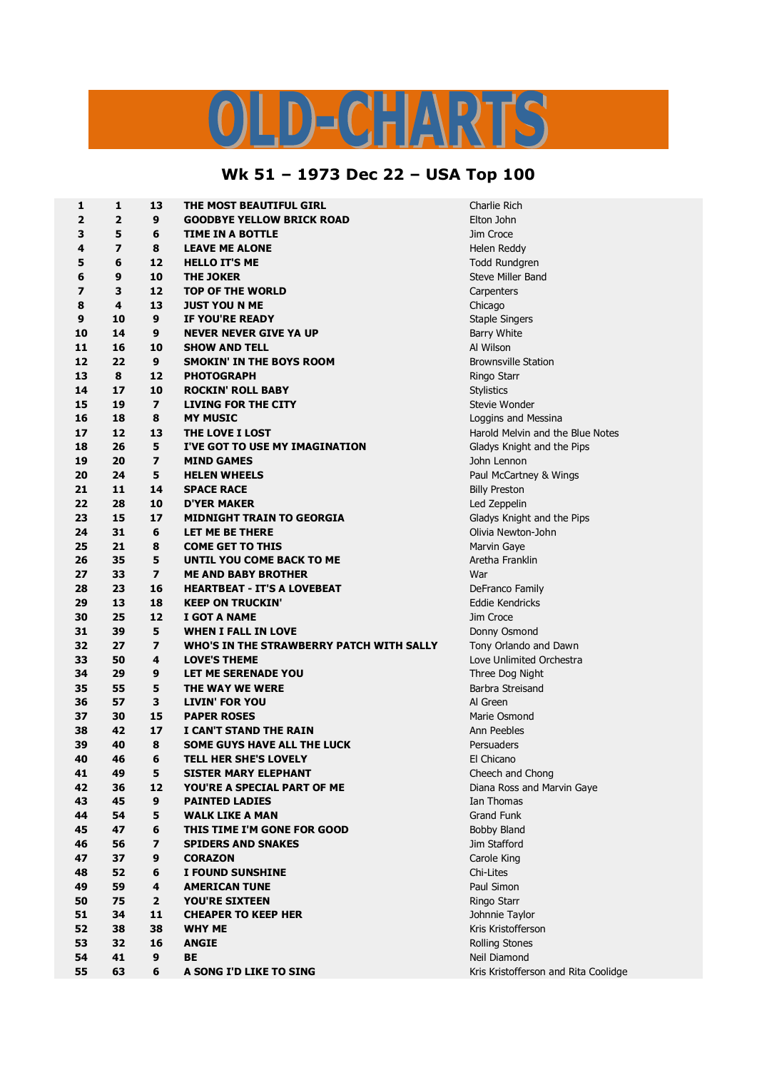## LD-CHARTS

## **Wk 51 – 1973 Dec 22 – USA Top 100**

| 1  | $\mathbf{1}$            | 13                      | THE MOST BEAUTIFUL GIRL                  | Charlie Rich                         |
|----|-------------------------|-------------------------|------------------------------------------|--------------------------------------|
| 2  | $\overline{\mathbf{2}}$ | 9                       | <b>GOODBYE YELLOW BRICK ROAD</b>         | Elton John                           |
| 3  | 5                       | 6                       | <b>TIME IN A BOTTLE</b>                  | Jim Croce                            |
| 4  | $\overline{\mathbf{z}}$ | 8                       | <b>LEAVE ME ALONE</b>                    | Helen Reddy                          |
| 5  | 6                       | 12                      | <b>HELLO IT'S ME</b>                     | Todd Rundgren                        |
| 6  | 9                       | 10                      | <b>THE JOKER</b>                         | Steve Miller Band                    |
| 7  | 3                       | 12                      | <b>TOP OF THE WORLD</b>                  | Carpenters                           |
| 8  | 4                       | 13                      | <b>JUST YOU N ME</b>                     | Chicago                              |
| 9  | 10                      | 9                       | IF YOU'RE READY                          | <b>Staple Singers</b>                |
| 10 | 14                      | 9                       | <b>NEVER NEVER GIVE YA UP</b>            | <b>Barry White</b>                   |
| 11 | 16                      | 10                      | <b>SHOW AND TELL</b>                     | Al Wilson                            |
| 12 | 22                      | 9                       | <b>SMOKIN' IN THE BOYS ROOM</b>          | <b>Brownsville Station</b>           |
| 13 | 8                       | 12                      | <b>PHOTOGRAPH</b>                        | Ringo Starr                          |
| 14 | 17                      | 10                      | <b>ROCKIN' ROLL BABY</b>                 | <b>Stylistics</b>                    |
| 15 | 19                      | $\overline{\mathbf{z}}$ | <b>LIVING FOR THE CITY</b>               | Stevie Wonder                        |
| 16 | 18                      | 8                       | <b>MY MUSIC</b>                          | Loggins and Messina                  |
| 17 | 12                      | 13                      | THE LOVE I LOST                          | Harold Melvin and the Blue Notes     |
| 18 | 26                      | 5                       | I'VE GOT TO USE MY IMAGINATION           | Gladys Knight and the Pips           |
| 19 | 20                      | $\overline{\mathbf{z}}$ | <b>MIND GAMES</b>                        | John Lennon                          |
| 20 | 24                      | 5                       | <b>HELEN WHEELS</b>                      | Paul McCartney & Wings               |
| 21 | 11                      | 14                      | <b>SPACE RACE</b>                        | <b>Billy Preston</b>                 |
| 22 | 28                      | 10                      | <b>D'YER MAKER</b>                       | Led Zeppelin                         |
| 23 | 15                      | 17                      | <b>MIDNIGHT TRAIN TO GEORGIA</b>         | Gladys Knight and the Pips           |
| 24 | 31                      | 6                       | LET ME BE THERE                          | Olivia Newton-John                   |
| 25 | 21                      | 8                       | <b>COME GET TO THIS</b>                  | Marvin Gaye                          |
| 26 | 35                      | 5                       | UNTIL YOU COME BACK TO ME                | Aretha Franklin                      |
| 27 | 33                      | $\overline{ }$          | <b>ME AND BABY BROTHER</b>               | War                                  |
| 28 | 23                      | 16                      | <b>HEARTBEAT - IT'S A LOVEBEAT</b>       | DeFranco Family                      |
| 29 | 13                      | 18                      | <b>KEEP ON TRUCKIN'</b>                  | Eddie Kendricks                      |
| 30 | 25                      | 12                      | I GOT A NAME                             | Jim Croce                            |
| 31 | 39                      | 5                       | <b>WHEN I FALL IN LOVE</b>               | Donny Osmond                         |
| 32 | 27                      | $\overline{\mathbf{z}}$ | WHO'S IN THE STRAWBERRY PATCH WITH SALLY | Tony Orlando and Dawn                |
| 33 | 50                      | 4                       | <b>LOVE'S THEME</b>                      | Love Unlimited Orchestra             |
| 34 | 29                      | 9                       | LET ME SERENADE YOU                      | Three Dog Night                      |
| 35 | 55                      | 5                       | THE WAY WE WERE                          | Barbra Streisand                     |
| 36 | 57                      | 3                       | <b>LIVIN' FOR YOU</b>                    | Al Green                             |
| 37 | 30                      | 15                      | <b>PAPER ROSES</b>                       | Marie Osmond                         |
| 38 | 42                      | 17                      | I CAN'T STAND THE RAIN                   | Ann Peebles                          |
| 39 | 40                      | 8                       | <b>SOME GUYS HAVE ALL THE LUCK</b>       | Persuaders                           |
| 40 | 46                      | 6                       | <b>TELL HER SHE'S LOVELY</b>             | El Chicano                           |
| 41 | 49                      | 5                       | SISTER MARY ELEPHANT                     | Cheech and Chong                     |
| 42 | 36                      | 12                      | YOU'RE A SPECIAL PART OF ME              | Diana Ross and Marvin Gaye           |
| 43 | 45                      | 9                       | <b>PAINTED LADIES</b>                    | Ian Thomas                           |
| 44 | 54                      | 5                       | <b>WALK LIKE A MAN</b>                   | <b>Grand Funk</b>                    |
| 45 | 47                      | 6                       | THIS TIME I'M GONE FOR GOOD              | <b>Bobby Bland</b>                   |
| 46 | 56                      | $\overline{\mathbf{z}}$ | <b>SPIDERS AND SNAKES</b>                | Jim Stafford                         |
| 47 | 37                      | 9                       | <b>CORAZON</b>                           | Carole King                          |
| 48 | 52                      | 6                       | I FOUND SUNSHINE                         | Chi-Lites                            |
| 49 | 59                      | 4                       | <b>AMERICAN TUNE</b>                     | Paul Simon                           |
| 50 | 75                      | $\overline{2}$          | <b>YOU'RE SIXTEEN</b>                    | Ringo Starr                          |
| 51 | 34                      | 11                      | <b>CHEAPER TO KEEP HER</b>               | Johnnie Taylor                       |
| 52 | 38                      | 38                      | <b>WHY ME</b>                            | Kris Kristofferson                   |
| 53 | 32                      | 16                      | <b>ANGIE</b>                             | <b>Rolling Stones</b>                |
| 54 | 41                      | 9                       | <b>BE</b>                                | Neil Diamond                         |
| 55 | 63                      | 6                       | A SONG I'D LIKE TO SING                  | Kris Kristofferson and Rita Coolidge |
|    |                         |                         |                                          |                                      |